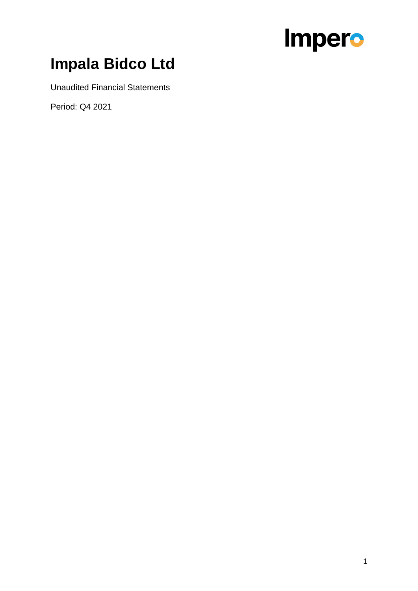## **Impala Bidco Ltd**

Unaudited Financial Statements

Period: Q4 2021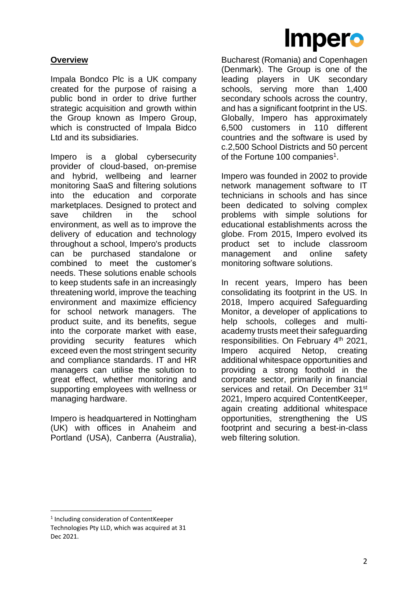

#### **Overview**

Impala Bondco Plc is a UK company created for the purpose of raising a public bond in order to drive further strategic acquisition and growth within the Group known as Impero Group, which is constructed of Impala Bidco Ltd and its subsidiaries.

Impero is a global cybersecurity provider of cloud-based, on-premise and hybrid, wellbeing and learner monitoring SaaS and filtering solutions into the education and corporate marketplaces. Designed to protect and save children in the school environment, as well as to improve the delivery of education and technology throughout a school, Impero's products can be purchased standalone or combined to meet the customer's needs. These solutions enable schools to keep students safe in an increasingly threatening world, improve the teaching environment and maximize efficiency for school network managers. The product suite, and its benefits, segue into the corporate market with ease, providing security features which exceed even the most stringent security and compliance standards. IT and HR managers can utilise the solution to great effect, whether monitoring and supporting employees with wellness or managing hardware.

Impero is headquartered in Nottingham (UK) with offices in Anaheim and Portland (USA), Canberra (Australia),

Bucharest (Romania) and Copenhagen (Denmark). The Group is one of the leading players in UK secondary schools, serving more than 1,400 secondary schools across the country, and has a significant footprint in the US. Globally, Impero has approximately 6,500 customers in 110 different countries and the software is used by c.2,500 School Districts and 50 percent of the Fortune 100 companies<sup>1</sup>.

Impero was founded in 2002 to provide network management software to IT technicians in schools and has since been dedicated to solving complex problems with simple solutions for educational establishments across the globe. From 2015, Impero evolved its product set to include classroom management and online safety monitoring software solutions.

In recent years, Impero has been consolidating its footprint in the US. In 2018, Impero acquired Safeguarding Monitor, a developer of applications to help schools, colleges and multiacademy trusts meet their safeguarding responsibilities. On February 4<sup>th</sup> 2021, Impero acquired Netop, creating additional whitespace opportunities and providing a strong foothold in the corporate sector, primarily in financial services and retail. On December 31<sup>st</sup> 2021, Impero acquired ContentKeeper, again creating additional whitespace opportunities, strengthening the US footprint and securing a best-in-class web filtering solution.

<sup>1</sup> Including consideration of ContentKeeper Technologies Pty LLD, which was acquired at 31 Dec 2021.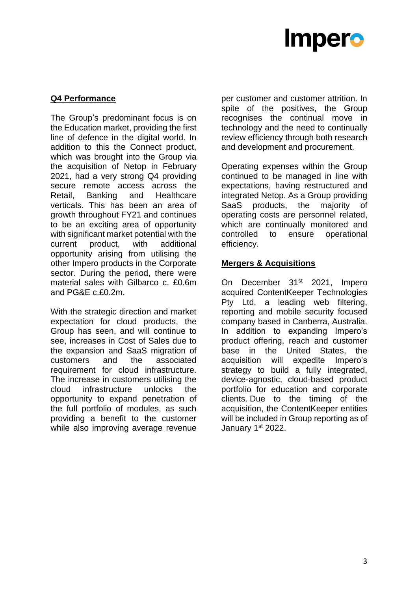#### **Q4 Performance**

The Group's predominant focus is on the Education market, providing the first line of defence in the digital world. In addition to this the Connect product, which was brought into the Group via the acquisition of Netop in February 2021, had a very strong Q4 providing secure remote access across the Retail, Banking and Healthcare verticals. This has been an area of growth throughout FY21 and continues to be an exciting area of opportunity with significant market potential with the current product, with additional opportunity arising from utilising the other Impero products in the Corporate sector. During the period, there were material sales with Gilbarco c. £0.6m and PG&E c.£0.2m.

With the strategic direction and market expectation for cloud products, the Group has seen, and will continue to see, increases in Cost of Sales due to the expansion and SaaS migration of customers and the associated requirement for cloud infrastructure. The increase in customers utilising the cloud infrastructure unlocks the opportunity to expand penetration of the full portfolio of modules, as such providing a benefit to the customer while also improving average revenue

per customer and customer attrition. In spite of the positives, the Group recognises the continual move in technology and the need to continually review efficiency through both research and development and procurement.

Operating expenses within the Group continued to be managed in line with expectations, having restructured and integrated Netop. As a Group providing SaaS products, the majority of operating costs are personnel related, which are continually monitored and controlled to ensure operational efficiency.

#### **Mergers & Acquisitions**

On December 31<sup>st</sup> 2021, Impero acquired ContentKeeper Technologies Pty Ltd, a leading web filtering, reporting and mobile security focused company based in Canberra, Australia. In addition to expanding Impero's product offering, reach and customer base in the United States, the acquisition will expedite Impero's strategy to build a fully integrated, device-agnostic, cloud-based product portfolio for education and corporate clients. Due to the timing of the acquisition, the ContentKeeper entities will be included in Group reporting as of January 1<sup>st</sup> 2022.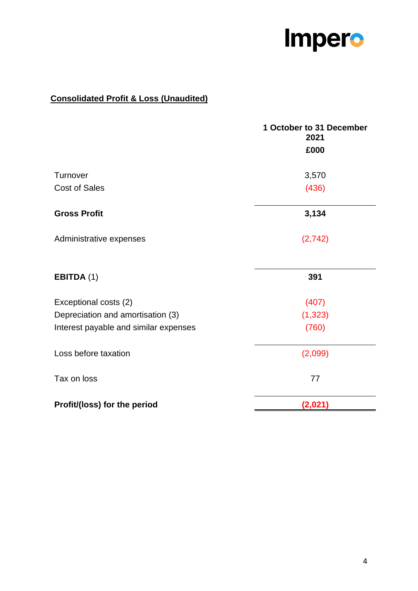

### **Consolidated Profit & Loss (Unaudited)**

|                                       | 1 October to 31 December<br>2021 |
|---------------------------------------|----------------------------------|
|                                       | £000                             |
| Turnover                              | 3,570                            |
| <b>Cost of Sales</b>                  | (436)                            |
| <b>Gross Profit</b>                   | 3,134                            |
| Administrative expenses               | (2, 742)                         |
| EBITDA (1)                            | 391                              |
| Exceptional costs (2)                 | (407)                            |
| Depreciation and amortisation (3)     | (1, 323)                         |
| Interest payable and similar expenses | (760)                            |
| Loss before taxation                  | (2,099)                          |
| Tax on loss                           | 77                               |
| Profit/(loss) for the period          | (2,021)                          |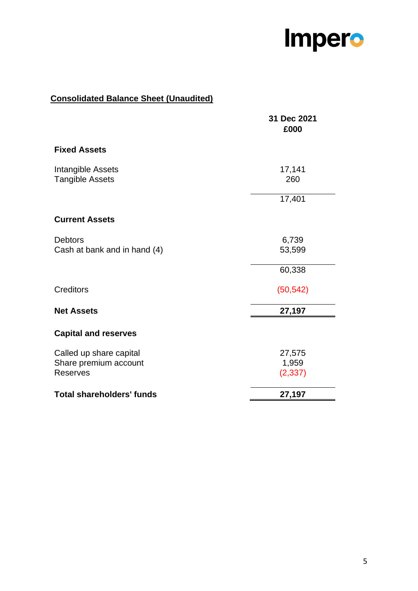

### **Consolidated Balance Sheet (Unaudited)**

|                                                                     | 31 Dec 2021<br>£000         |
|---------------------------------------------------------------------|-----------------------------|
| <b>Fixed Assets</b>                                                 |                             |
| Intangible Assets<br><b>Tangible Assets</b>                         | 17,141<br>260               |
|                                                                     | 17,401                      |
| <b>Current Assets</b>                                               |                             |
| <b>Debtors</b><br>Cash at bank and in hand (4)                      | 6,739<br>53,599             |
|                                                                     | 60,338                      |
| Creditors                                                           | (50, 542)                   |
| <b>Net Assets</b>                                                   | 27,197                      |
| <b>Capital and reserves</b>                                         |                             |
| Called up share capital<br>Share premium account<br><b>Reserves</b> | 27,575<br>1,959<br>(2, 337) |
| <b>Total shareholders' funds</b>                                    | 27,197                      |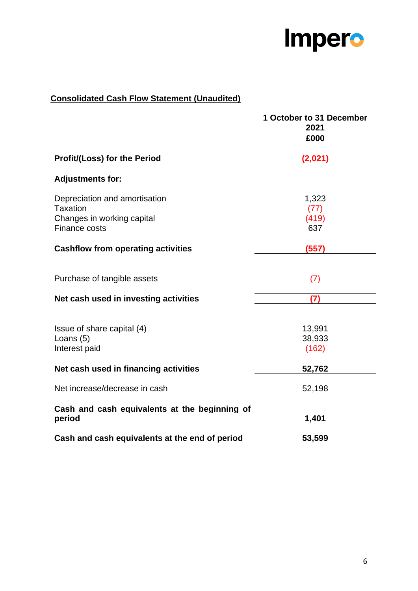

### **Consolidated Cash Flow Statement (Unaudited)**

|                                                                                | 1 October to 31 December<br>2021<br>£000 |
|--------------------------------------------------------------------------------|------------------------------------------|
| Profit/(Loss) for the Period                                                   | (2,021)                                  |
| <b>Adjustments for:</b>                                                        |                                          |
| Depreciation and amortisation<br><b>Taxation</b><br>Changes in working capital | 1,323<br>(77)<br>(419)                   |
| <b>Finance costs</b><br><b>Cashflow from operating activities</b>              | 637<br>(557)                             |
|                                                                                |                                          |
| Purchase of tangible assets                                                    | (7)                                      |
| Net cash used in investing activities                                          | (7)                                      |
| Issue of share capital (4)<br>Loans (5)<br>Interest paid                       | 13,991<br>38,933<br>(162)                |
| Net cash used in financing activities                                          | 52,762                                   |
| Net increase/decrease in cash                                                  | 52,198                                   |
| Cash and cash equivalents at the beginning of<br>period                        | 1,401                                    |
| Cash and cash equivalents at the end of period                                 | 53,599                                   |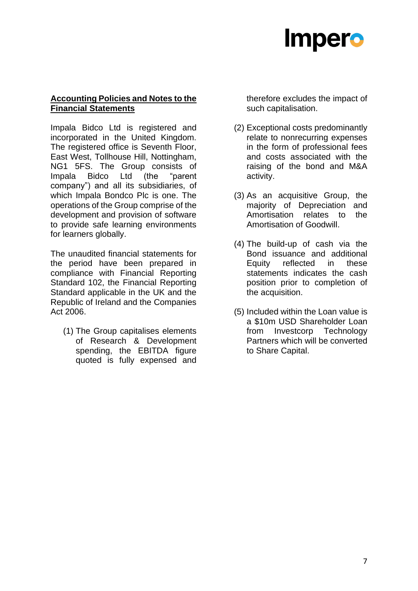#### **Accounting Policies and Notes to the Financial Statements**

Impala Bidco Ltd is registered and incorporated in the United Kingdom. The registered office is Seventh Floor, East West, Tollhouse Hill, Nottingham, NG1 5FS. The Group consists of Impala Bidco Ltd (the "parent company") and all its subsidiaries, of which Impala Bondco Plc is one. The operations of the Group comprise of the development and provision of software to provide safe learning environments for learners globally.

The unaudited financial statements for the period have been prepared in compliance with Financial Reporting Standard 102, the Financial Reporting Standard applicable in the UK and the Republic of Ireland and the Companies Act 2006.

(1) The Group capitalises elements of Research & Development spending, the EBITDA figure quoted is fully expensed and therefore excludes the impact of such capitalisation.

- (2) Exceptional costs predominantly relate to nonrecurring expenses in the form of professional fees and costs associated with the raising of the bond and M&A activity.
- (3) As an acquisitive Group, the majority of Depreciation and Amortisation relates to the Amortisation of Goodwill.
- (4) The build-up of cash via the Bond issuance and additional Equity reflected in these statements indicates the cash position prior to completion of the acquisition.
- (5) Included within the Loan value is a \$10m USD Shareholder Loan from Investcorp Technology Partners which will be converted to Share Capital.